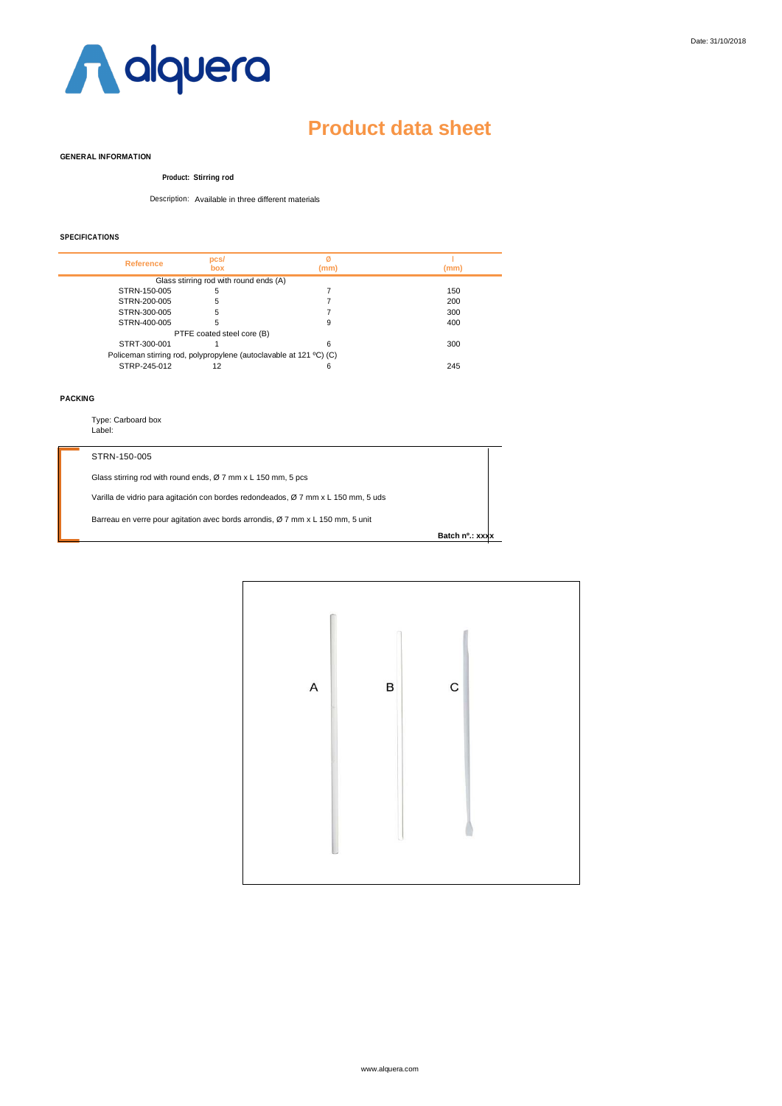

## **Product data sheet**

#### **GENERAL INFORMATION**

#### **Product: Stirring rod**

Description: Available in three different materials

### **SPECIFICATIONS**

| <b>Reference</b> | pcs/                                   | Ø                                                                  |      |
|------------------|----------------------------------------|--------------------------------------------------------------------|------|
|                  | box                                    | (mm)                                                               | (mm) |
|                  | Glass stirring rod with round ends (A) |                                                                    |      |
| STRN-150-005     | 5                                      |                                                                    | 150  |
| STRN-200-005     | 5                                      |                                                                    | 200  |
| STRN-300-005     | 5                                      |                                                                    | 300  |
| STRN-400-005     | 5                                      | 9                                                                  | 400  |
|                  | PTFE coated steel core (B)             |                                                                    |      |
| STRT-300-001     |                                        | հ                                                                  | 300  |
|                  |                                        | Policeman stirring rod, polypropylene (autoclavable at 121 °C) (C) |      |
| STRP-245-012     | 12                                     | հ                                                                  | 245  |

### **PACKING**

Type: Carboard box Label:

### STRN-150-005

Glass stirring rod with round ends, Ø 7 mm x L 150 mm, 5 pcs

Varilla de vidrio para agitación con bordes redondeados, Ø 7 mm x L 150 mm, 5 uds

Barreau en verre pour agitation avec bords arrondis, Ø 7 mm x L 150 mm, 5 unit

| Batch nº.: xxxx |  |  |
|-----------------|--|--|
|                 |  |  |

| $\boldsymbol{\mathsf{A}}$ | B | $\mathbf C$ |  |
|---------------------------|---|-------------|--|
|                           |   |             |  |
|                           |   |             |  |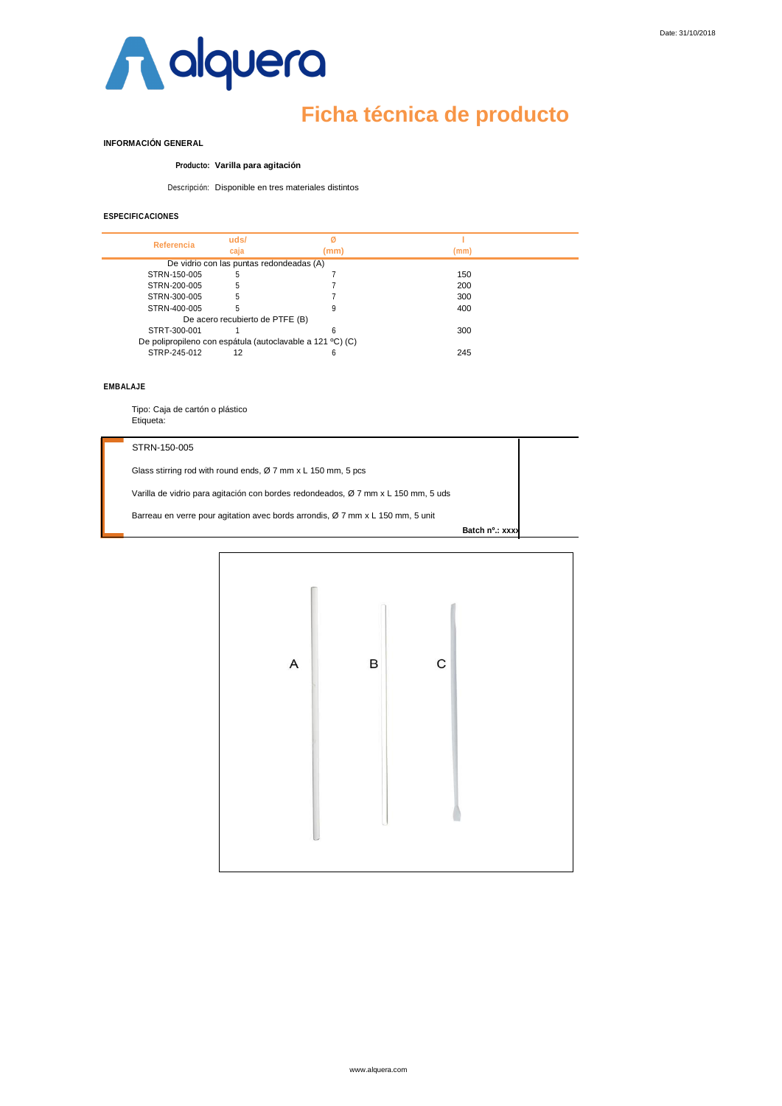

# **Ficha técnica de producto**

## **INFORMACIÓN GENERAL**

### **Producto: Varilla para agitación**

Descripción: Disponible en tres materiales distintos

## **ESPECIFICACIONES**

| Referencia   | uds/                                     |                                                           |      |  |
|--------------|------------------------------------------|-----------------------------------------------------------|------|--|
|              | caia                                     | (mm)                                                      | (mm) |  |
|              | De vidrio con las puntas redondeadas (A) |                                                           |      |  |
| STRN-150-005 | 5                                        |                                                           | 150  |  |
| STRN-200-005 | 5                                        |                                                           | 200  |  |
| STRN-300-005 | 5                                        |                                                           | 300  |  |
| STRN-400-005 |                                          |                                                           | 400  |  |
|              | De acero recubierto de PTFE (B)          |                                                           |      |  |
| STRT-300-001 |                                          | h                                                         | 300  |  |
|              |                                          | De polipropileno con espátula (autoclavable a 121 °C) (C) |      |  |
| STRP-245-012 | 12                                       |                                                           | 245  |  |

#### **EMBALAJE**

Tipo: Caja de cartón o plástico Etiqueta:

#### STRN-150-005

Glass stirring rod with round ends, Ø 7 mm x L 150 mm, 5 pcs

Varilla de vidrio para agitación con bordes redondeados, Ø 7 mm x L 150 mm, 5 uds

Barreau en verre pour agitation avec bords arrondis, Ø 7 mm x L 150 mm, 5 unit